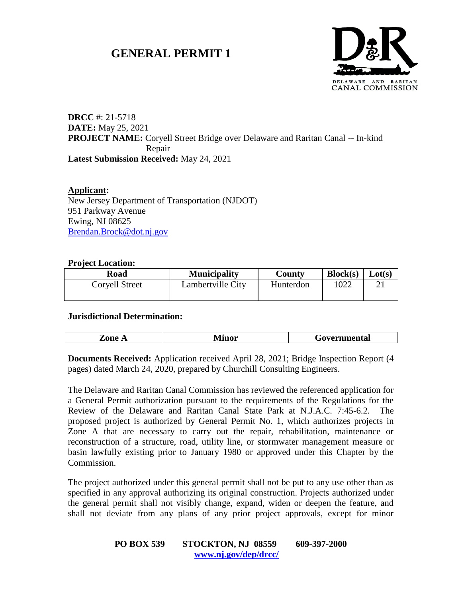# **GENERAL PERMIT 1**



# **DRCC** #: 21-5718 **DATE:** May 25, 2021 **PROJECT NAME:** Coryell Street Bridge over Delaware and Raritan Canal -- In-kind Repair **Latest Submission Received:** May 24, 2021

**Applicant:** New Jersey Department of Transportation (NJDOT) 951 Parkway Avenue Ewing, NJ 08625 [Brendan.Brock@dot.nj.gov](mailto:Brendan.Brock@dot.nj.gov)

# **Project Location:**

| Road           | <b>Municipality</b> | <b>County</b> | Block(s) | Lot(s) |
|----------------|---------------------|---------------|----------|--------|
| Corvell Street | Lambertville City   | Hunterdon     | 1022     |        |
|                |                     |               |          |        |

#### **Jurisdictional Determination:**

|--|

**Documents Received:** Application received April 28, 2021; Bridge Inspection Report (4) pages) dated March 24, 2020, prepared by Churchill Consulting Engineers.

The Delaware and Raritan Canal Commission has reviewed the referenced application for a General Permit authorization pursuant to the requirements of the Regulations for the Review of the Delaware and Raritan Canal State Park at N.J.A.C. 7:45-6.2. The proposed project is authorized by General Permit No. 1, which authorizes projects in Zone A that are necessary to carry out the repair, rehabilitation, maintenance or reconstruction of a structure, road, utility line, or stormwater management measure or basin lawfully existing prior to January 1980 or approved under this Chapter by the Commission.

The project authorized under this general permit shall not be put to any use other than as specified in any approval authorizing its original construction. Projects authorized under the general permit shall not visibly change, expand, widen or deepen the feature, and shall not deviate from any plans of any prior project approvals, except for minor

| <b>PO BOX 539</b>    | STOCKTON, NJ 08559 | 609-397-2000 |
|----------------------|--------------------|--------------|
| www.nj.gov/dep/drcc/ |                    |              |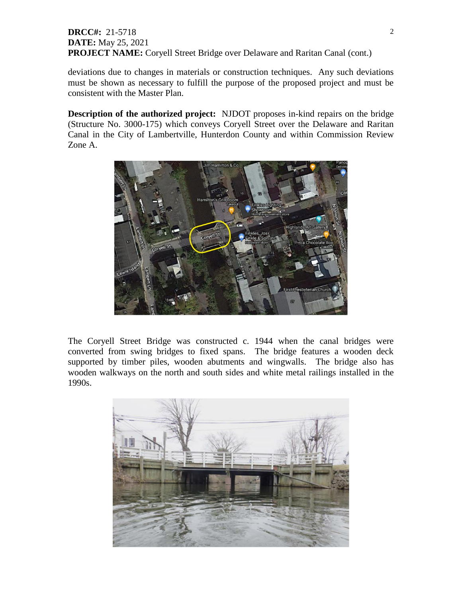# **DRCC#:** 21-5718 **DATE:** May 25, 2021 **PROJECT NAME:** Coryell Street Bridge over Delaware and Raritan Canal (cont.)

deviations due to changes in materials or construction techniques. Any such deviations must be shown as necessary to fulfill the purpose of the proposed project and must be consistent with the Master Plan.

**Description of the authorized project:** NJDOT proposes in-kind repairs on the bridge (Structure No. 3000-175) which conveys Coryell Street over the Delaware and Raritan Canal in the City of Lambertville, Hunterdon County and within Commission Review Zone A.



The Coryell Street Bridge was constructed c. 1944 when the canal bridges were converted from swing bridges to fixed spans. The bridge features a wooden deck supported by timber piles, wooden abutments and wingwalls. The bridge also has wooden walkways on the north and south sides and white metal railings installed in the 1990s.

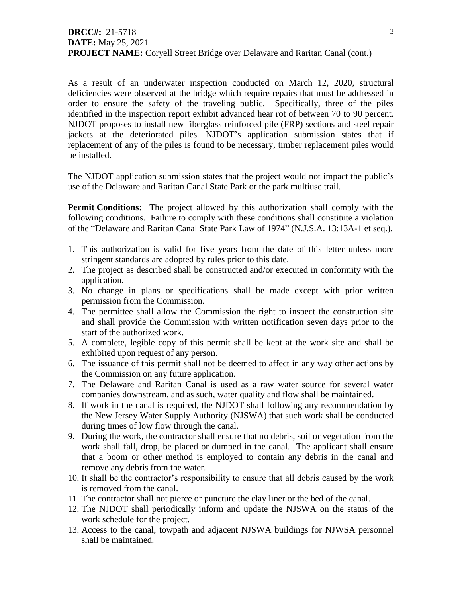As a result of an underwater inspection conducted on March 12, 2020, structural deficiencies were observed at the bridge which require repairs that must be addressed in order to ensure the safety of the traveling public. Specifically, three of the piles identified in the inspection report exhibit advanced hear rot of between 70 to 90 percent. NJDOT proposes to install new fiberglass reinforced pile (FRP) sections and steel repair jackets at the deteriorated piles. NJDOT's application submission states that if replacement of any of the piles is found to be necessary, timber replacement piles would be installed.

The NJDOT application submission states that the project would not impact the public's use of the Delaware and Raritan Canal State Park or the park multiuse trail.

**Permit Conditions:** The project allowed by this authorization shall comply with the following conditions. Failure to comply with these conditions shall constitute a violation of the "Delaware and Raritan Canal State Park Law of 1974" (N.J.S.A. 13:13A-1 et seq.).

- 1. This authorization is valid for five years from the date of this letter unless more stringent standards are adopted by rules prior to this date.
- 2. The project as described shall be constructed and/or executed in conformity with the application.
- 3. No change in plans or specifications shall be made except with prior written permission from the Commission.
- 4. The permittee shall allow the Commission the right to inspect the construction site and shall provide the Commission with written notification seven days prior to the start of the authorized work.
- 5. A complete, legible copy of this permit shall be kept at the work site and shall be exhibited upon request of any person.
- 6. The issuance of this permit shall not be deemed to affect in any way other actions by the Commission on any future application.
- 7. The Delaware and Raritan Canal is used as a raw water source for several water companies downstream, and as such, water quality and flow shall be maintained.
- 8. If work in the canal is required, the NJDOT shall following any recommendation by the New Jersey Water Supply Authority (NJSWA) that such work shall be conducted during times of low flow through the canal.
- 9. During the work, the contractor shall ensure that no debris, soil or vegetation from the work shall fall, drop, be placed or dumped in the canal. The applicant shall ensure that a boom or other method is employed to contain any debris in the canal and remove any debris from the water.
- 10. It shall be the contractor's responsibility to ensure that all debris caused by the work is removed from the canal.
- 11. The contractor shall not pierce or puncture the clay liner or the bed of the canal.
- 12. The NJDOT shall periodically inform and update the NJSWA on the status of the work schedule for the project.
- 13. Access to the canal, towpath and adjacent NJSWA buildings for NJWSA personnel shall be maintained.